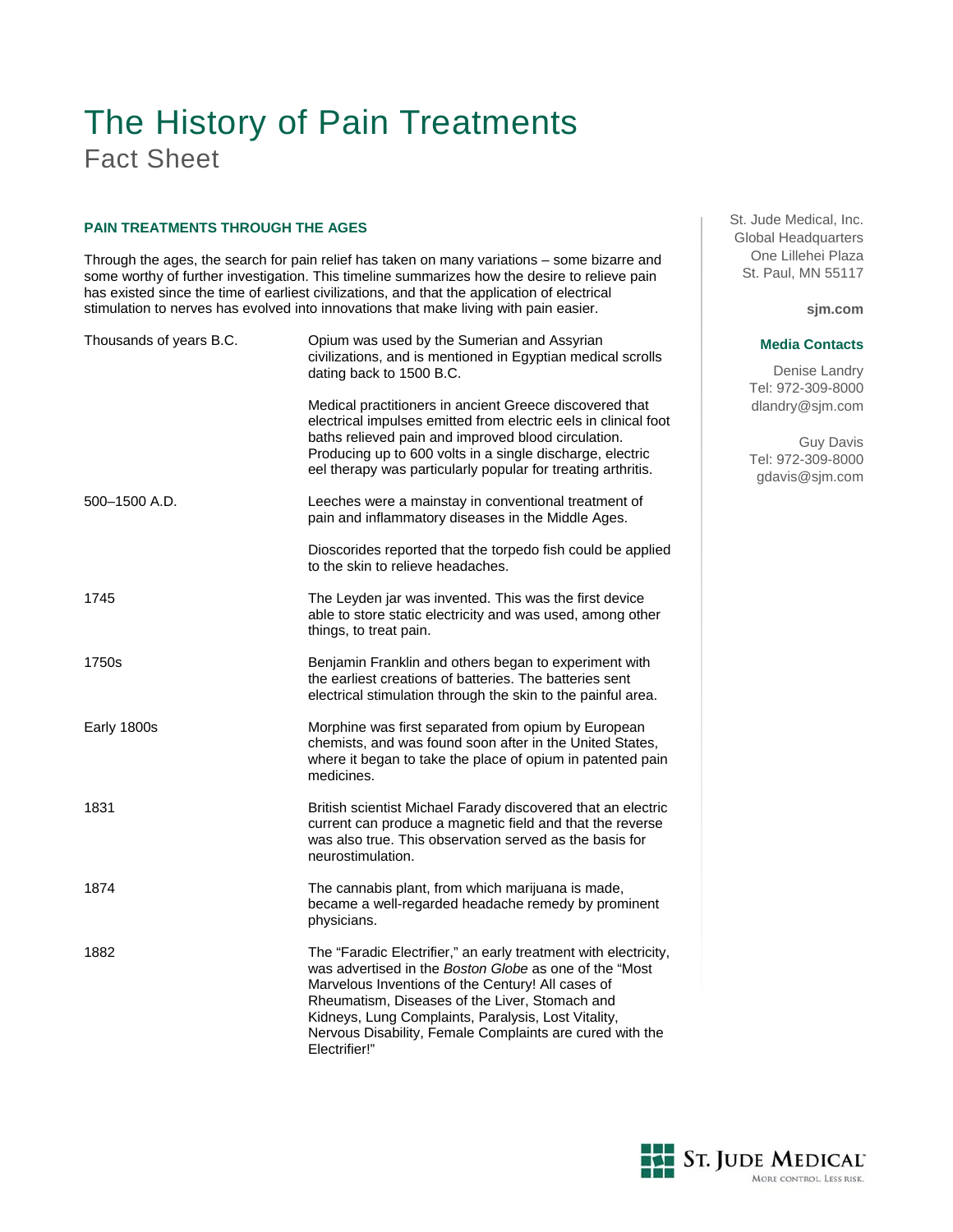# The History of Pain Treatments Fact Sheet

# **PAIN TREATMENTS THROUGH THE AGES**

Through the ages, the search for pain relief has taken on many variations – some bizarre and some worthy of further investigation. This timeline summarizes how the desire to relieve pain has existed since the time of earliest civilizations, and that the application of electrical stimulation to nerves has evolved into innovations that make living with pain easier.

| Thousands of years B.C. | Opium was used by the Sumerian and Assyrian<br>civilizations, and is mentioned in Egyptian medical scrolls<br>dating back to 1500 B.C.                                                                                                                                                                                                                               |
|-------------------------|----------------------------------------------------------------------------------------------------------------------------------------------------------------------------------------------------------------------------------------------------------------------------------------------------------------------------------------------------------------------|
|                         | Medical practitioners in ancient Greece discovered that<br>electrical impulses emitted from electric eels in clinical foot<br>baths relieved pain and improved blood circulation.<br>Producing up to 600 volts in a single discharge, electric<br>eel therapy was particularly popular for treating arthritis.                                                       |
| 500-1500 A.D.           | Leeches were a mainstay in conventional treatment of<br>pain and inflammatory diseases in the Middle Ages.                                                                                                                                                                                                                                                           |
|                         | Dioscorides reported that the torpedo fish could be applied<br>to the skin to relieve headaches.                                                                                                                                                                                                                                                                     |
| 1745                    | The Leyden jar was invented. This was the first device<br>able to store static electricity and was used, among other<br>things, to treat pain.                                                                                                                                                                                                                       |
| 1750s                   | Benjamin Franklin and others began to experiment with<br>the earliest creations of batteries. The batteries sent<br>electrical stimulation through the skin to the painful area.                                                                                                                                                                                     |
| Early 1800s             | Morphine was first separated from opium by European<br>chemists, and was found soon after in the United States,<br>where it began to take the place of opium in patented pain<br>medicines.                                                                                                                                                                          |
| 1831                    | British scientist Michael Farady discovered that an electric<br>current can produce a magnetic field and that the reverse<br>was also true. This observation served as the basis for<br>neurostimulation.                                                                                                                                                            |
| 1874                    | The cannabis plant, from which marijuana is made,<br>became a well-regarded headache remedy by prominent<br>physicians.                                                                                                                                                                                                                                              |
| 1882                    | The "Faradic Electrifier," an early treatment with electricity,<br>was advertised in the Boston Globe as one of the "Most<br>Marvelous Inventions of the Century! All cases of<br>Rheumatism, Diseases of the Liver, Stomach and<br>Kidneys, Lung Complaints, Paralysis, Lost Vitality,<br>Nervous Disability, Female Complaints are cured with the<br>Electrifier!" |

St. Jude Medical, Inc. Global Headquarters One Lillehei Plaza St. Paul, MN 55117

**sjm.com**

#### **Media Contacts**

Denise Landry Tel: 972-309-8000 dlandry@sjm.com

Guy Davis Tel: 972-309-8000 gdavis@sjm.com

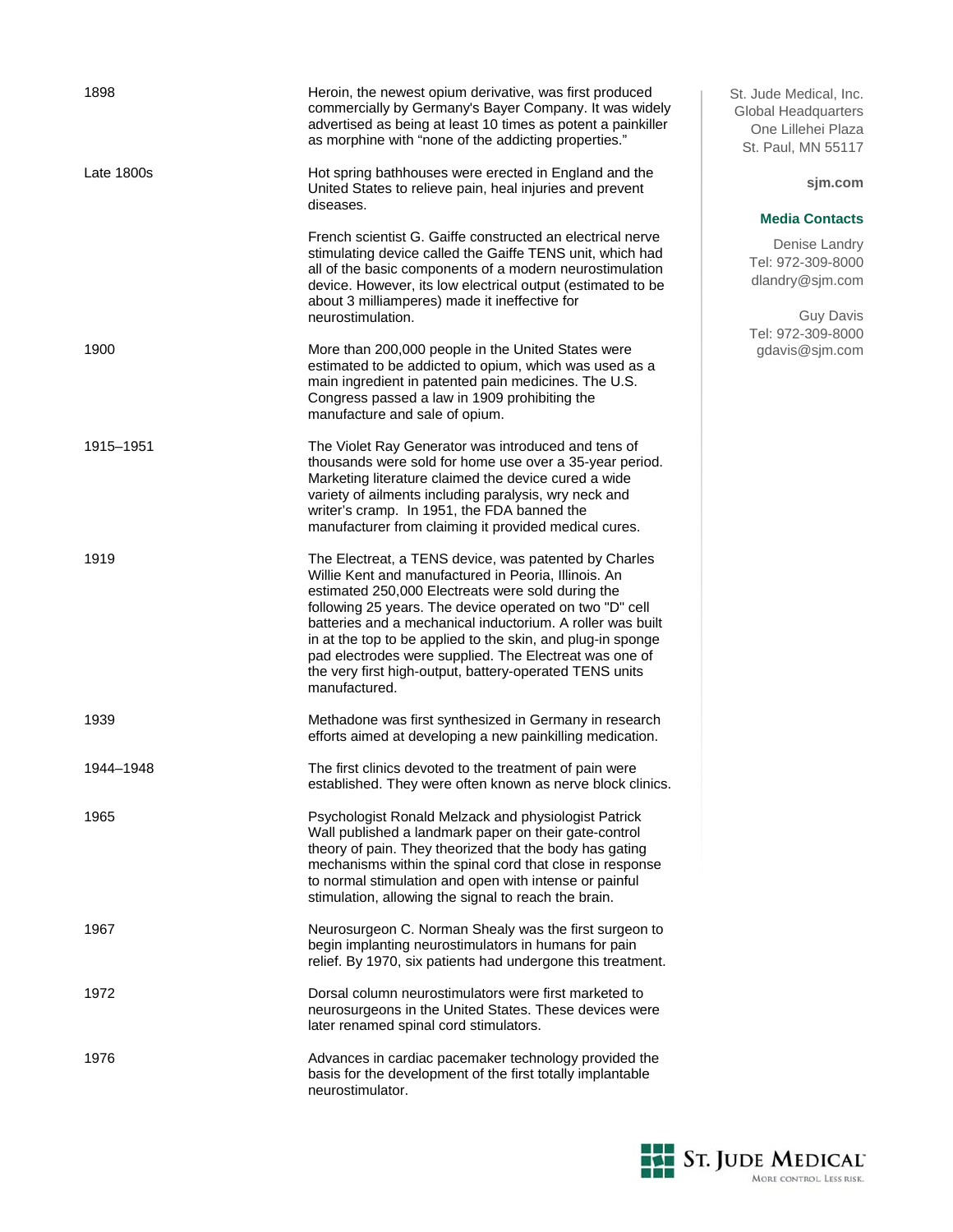| 1898       | Heroin, the newest opium derivative, was first produced<br>commercially by Germany's Bayer Company. It was widely<br>advertised as being at least 10 times as potent a painkiller<br>as morphine with "none of the addicting properties."                                                                                                                                                                                                                                                        |
|------------|--------------------------------------------------------------------------------------------------------------------------------------------------------------------------------------------------------------------------------------------------------------------------------------------------------------------------------------------------------------------------------------------------------------------------------------------------------------------------------------------------|
| Late 1800s | Hot spring bathhouses were erected in England and the<br>United States to relieve pain, heal injuries and prevent<br>diseases.                                                                                                                                                                                                                                                                                                                                                                   |
|            | French scientist G. Gaiffe constructed an electrical nerve<br>stimulating device called the Gaiffe TENS unit, which had<br>all of the basic components of a modern neurostimulation<br>device. However, its low electrical output (estimated to be<br>about 3 milliamperes) made it ineffective for<br>neurostimulation.                                                                                                                                                                         |
| 1900       | More than 200,000 people in the United States were<br>estimated to be addicted to opium, which was used as a<br>main ingredient in patented pain medicines. The U.S.<br>Congress passed a law in 1909 prohibiting the<br>manufacture and sale of opium.                                                                                                                                                                                                                                          |
| 1915–1951  | The Violet Ray Generator was introduced and tens of<br>thousands were sold for home use over a 35-year period.<br>Marketing literature claimed the device cured a wide<br>variety of ailments including paralysis, wry neck and<br>writer's cramp. In 1951, the FDA banned the<br>manufacturer from claiming it provided medical cures.                                                                                                                                                          |
| 1919       | The Electreat, a TENS device, was patented by Charles<br>Willie Kent and manufactured in Peoria, Illinois. An<br>estimated 250,000 Electreats were sold during the<br>following 25 years. The device operated on two "D" cell<br>batteries and a mechanical inductorium. A roller was built<br>in at the top to be applied to the skin, and plug-in sponge<br>pad electrodes were supplied. The Electreat was one of<br>the very first high-output, battery-operated TENS units<br>manufactured. |
| 1939       | Methadone was first synthesized in Germany in research<br>efforts aimed at developing a new painkilling medication.                                                                                                                                                                                                                                                                                                                                                                              |
| 1944-1948  | The first clinics devoted to the treatment of pain were<br>established. They were often known as nerve block clinics.                                                                                                                                                                                                                                                                                                                                                                            |
| 1965       | Psychologist Ronald Melzack and physiologist Patrick<br>Wall published a landmark paper on their gate-control<br>theory of pain. They theorized that the body has gating<br>mechanisms within the spinal cord that close in response<br>to normal stimulation and open with intense or painful<br>stimulation, allowing the signal to reach the brain.                                                                                                                                           |
| 1967       | Neurosurgeon C. Norman Shealy was the first surgeon to<br>begin implanting neurostimulators in humans for pain<br>relief. By 1970, six patients had undergone this treatment.                                                                                                                                                                                                                                                                                                                    |
| 1972       | Dorsal column neurostimulators were first marketed to<br>neurosurgeons in the United States. These devices were<br>later renamed spinal cord stimulators.                                                                                                                                                                                                                                                                                                                                        |
| 1976       | Advances in cardiac pacemaker technology provided the<br>basis for the development of the first totally implantable<br>neurostimulator.                                                                                                                                                                                                                                                                                                                                                          |

St. Jude Medical, Inc. Global Headquarters One Lillehei Plaza St. Paul, MN 55117

### **sjm.com**

### **Media Contacts**

Denise Landry Tel: 972-309-8000 dlandry@sjm.com

Guy Davis Tel: 972-309-8000 gdavis@sjm.com